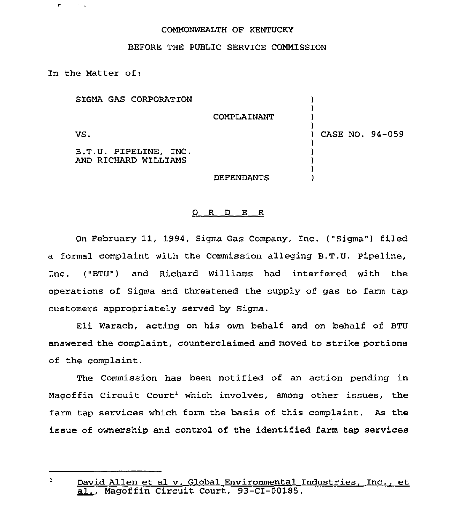## COMMONWEALTH OF KENTUCKY

## BEFORE THE PUBLIC SERVICE COMMISSION

In the Matter of:

 $\mathbf{c}$ 

 $\sim 10$ 

SIGMA GAS CORPORATION VS. B.T.U. PIPELINE, INC. AND RICHARD WILLIAMS COMPLAINANT DEFENDANTS ) ) ) ) ) CASE NO. 94-059 ) ) ) ) )

## O R D E R

On February 11, 1994, Sigma Gas Company, Inc. ("Sigma") filed a formal complaint with the Commission alleging B.T.U, Pipeline, Inc. ("BTU") and Richard Williams had interfered with the opexations of Sigma and threatened the supply of gas to farm tap customers appxopriately served by Sigma.

Eli warach, acting on his own behalf and on behalf of BTU answered the complaint, counterclaimed and moved to strike portions of the complaint.

The Commission has been notified of an action pending in Magoffin Circuit Court<sup>1</sup> which involves, among other issues, the farm tap services which form the basis of this complaint. As the issue of ownership and control of the identified farm tap services

 $\mathbf{1}$ David Allen et al v. Global Environmental Industries, Inc., et<br>al., Magoffin Circuit Court, 93-CI-00185.